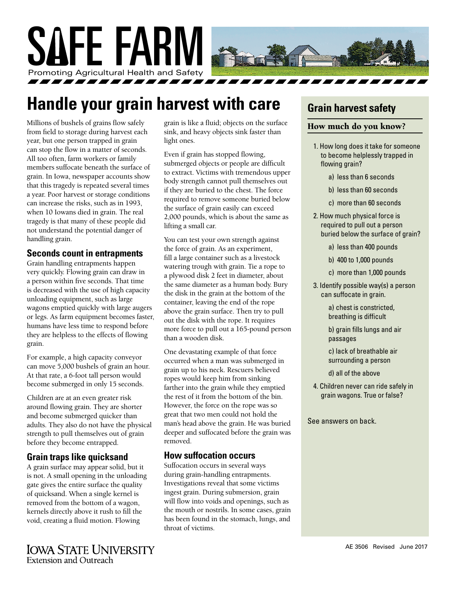

# **Handle your grain harvest with care**

Millions of bushels of grains flow safely from field to storage during harvest each year, but one person trapped in grain can stop the flow in a matter of seconds. All too often, farm workers or family members suffocate beneath the surface of grain. In Iowa, newspaper accounts show that this tragedy is repeated several times a year. Poor harvest or storage conditions can increase the risks, such as in 1993, when 10 Iowans died in grain. The real tragedy is that many of these people did not understand the potential danger of handling grain.

#### **Seconds count in entrapments**

Grain handling entrapments happen very quickly. Flowing grain can draw in a person within five seconds. That time is decreased with the use of high capacity unloading equipment, such as large wagons emptied quickly with large augers or legs. As farm equipment becomes faster, humans have less time to respond before they are helpless to the effects of flowing grain.

For example, a high capacity conveyor can move 5,000 bushels of grain an hour. At that rate, a 6-foot tall person would become submerged in only 15 seconds.

Children are at an even greater risk around flowing grain. They are shorter and become submerged quicker than adults. They also do not have the physical strength to pull themselves out of grain before they become entrapped.

### **Grain traps like quicksand**

A grain surface may appear solid, but it is not. A small opening in the unloading gate gives the entire surface the quality of quicksand. When a single kernel is removed from the bottom of a wagon, kernels directly above it rush to fill the void, creating a fluid motion. Flowing

grain is like a fluid; objects on the surface sink, and heavy objects sink faster than light ones.

Even if grain has stopped flowing, submerged objects or people are difficult to extract. Victims with tremendous upper body strength cannot pull themselves out if they are buried to the chest. The force required to remove someone buried below the surface of grain easily can exceed 2,000 pounds, which is about the same as lifting a small car.

You can test your own strength against the force of grain. As an experiment, fill a large container such as a livestock watering trough with grain. Tie a rope to a plywood disk 2 feet in diameter, about the same diameter as a human body. Bury the disk in the grain at the bottom of the container, leaving the end of the rope above the grain surface. Then try to pull out the disk with the rope. It requires more force to pull out a 165-pound person than a wooden disk.

One devastating example of that force occurred when a man was submerged in grain up to his neck. Rescuers believed ropes would keep him from sinking farther into the grain while they emptied the rest of it from the bottom of the bin. However, the force on the rope was so great that two men could not hold the man's head above the grain. He was buried deeper and suffocated before the grain was removed.

#### **How suffocation occurs**

Suffocation occurs in several ways during grain-handling entrapments. Investigations reveal that some victims ingest grain. During submersion, grain will flow into voids and openings, such as the mouth or nostrils. In some cases, grain has been found in the stomach, lungs, and throat of victims.

# **Grain harvest safety**

#### How much do you know?

- 1. How long does it take for someone to become helplessly trapped in flowing grain?
	- a) less than 6 seconds
	- b) less than 60 seconds
	- c) more than 60 seconds
- 2. How much physical force is required to pull out a person buried below the surface of grain?
	- a) less than 400 pounds
	- b) 400 to 1,000 pounds
	- c) more than 1,000 pounds
- 3. Identify possible way(s) a person can suffocate in grain.

a) chest is constricted, breathing is difficult

b) grain fills lungs and air passages

c) lack of breathable air surrounding a person

d) all of the above

4. Children never can ride safely in grain wagons. True or false?

See answers on back.